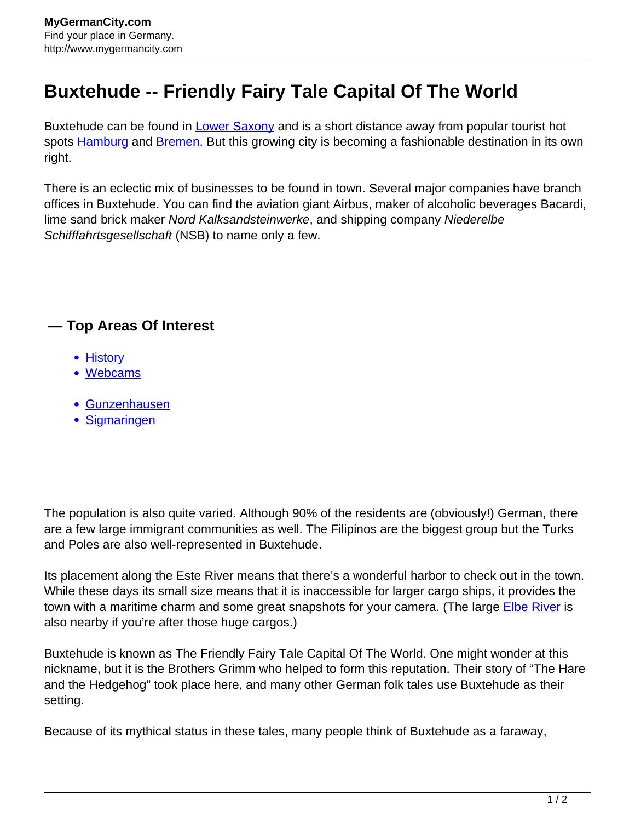## **Buxtehude -- Friendly Fairy Tale Capital Of The World**

Buxtehude can be found in [Lower Saxony](http://www.mygermancity.com/lower-saxony) and is a short distance away from popular tourist hot spots [Hamburg](http://www.mygermancity.com/hamburg) and [Bremen.](http://www.mygermancity.com/bremen) But this growing city is becoming a fashionable destination in its own right.

There is an eclectic mix of businesses to be found in town. Several major companies have branch offices in Buxtehude. You can find the aviation giant Airbus, maker of alcoholic beverages Bacardi, lime sand brick maker Nord Kalksandsteinwerke, and shipping company Niederelbe Schifffahrtsgesellschaft (NSB) to name only a few.

## **— Top Areas Of Interest**

- **[History](http://www.mygermancity.com/leipzig-history)**
- [Webcams](http://www.mygermancity.com/neustadt-holstein-webcams)
- [Gunzenhausen](http://www.mygermancity.com/gunzenhausen)
- [Sigmaringen](http://www.mygermancity.com/sigmaringen)

The population is also quite varied. Although 90% of the residents are (obviously!) German, there are a few large immigrant communities as well. The Filipinos are the biggest group but the Turks and Poles are also well-represented in Buxtehude.

Its placement along the Este River means that there's a wonderful harbor to check out in the town. While these days its small size means that it is inaccessible for larger cargo ships, it provides the town with a maritime charm and some great snapshots for your camera. (The large *Elbe River* is also nearby if you're after those huge cargos.)

Buxtehude is known as The Friendly Fairy Tale Capital Of The World. One might wonder at this nickname, but it is the Brothers Grimm who helped to form this reputation. Their story of "The Hare and the Hedgehog" took place here, and many other German folk tales use Buxtehude as their setting.

Because of its mythical status in these tales, many people think of Buxtehude as a faraway,